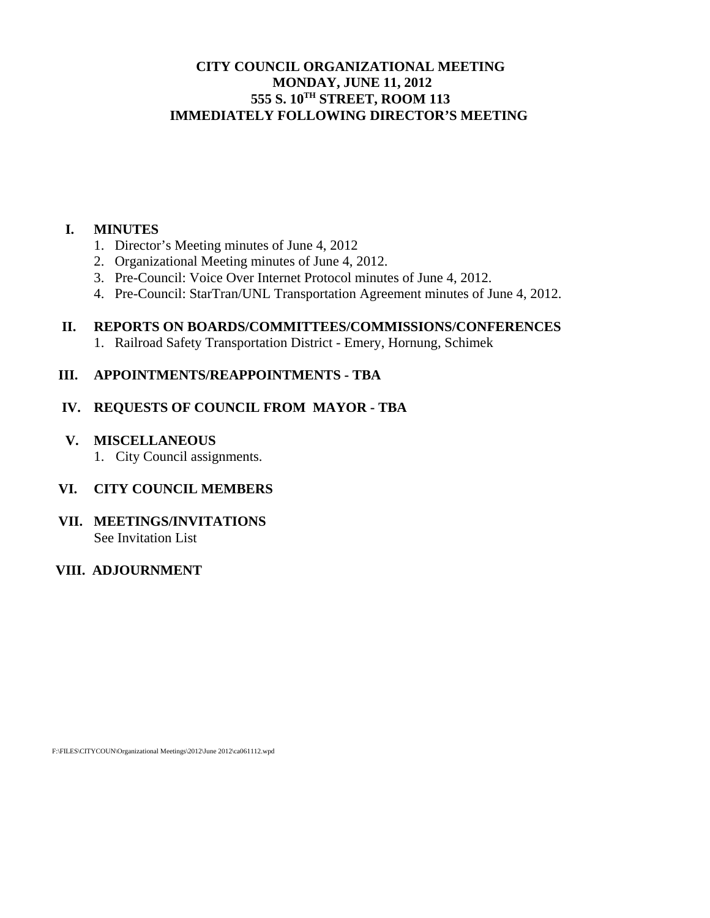## **CITY COUNCIL ORGANIZATIONAL MEETING MONDAY, JUNE 11, 2012 555 S. 10TH STREET, ROOM 113 IMMEDIATELY FOLLOWING DIRECTOR'S MEETING**

#### **I. MINUTES**

- 1. Director's Meeting minutes of June 4, 2012
- 2. Organizational Meeting minutes of June 4, 2012.
- 3. Pre-Council: Voice Over Internet Protocol minutes of June 4, 2012.
- 4. Pre-Council: StarTran/UNL Transportation Agreement minutes of June 4, 2012.

## **II. REPORTS ON BOARDS/COMMITTEES/COMMISSIONS/CONFERENCES**

1. Railroad Safety Transportation District - Emery, Hornung, Schimek

## **III. APPOINTMENTS/REAPPOINTMENTS - TBA**

## **IV. REQUESTS OF COUNCIL FROM MAYOR - TBA**

- **V. MISCELLANEOUS** 
	- 1. City Council assignments.

## **VI. CITY COUNCIL MEMBERS**

#### **VII. MEETINGS/INVITATIONS**  See Invitation List

 **VIII. ADJOURNMENT**

F:\FILES\CITYCOUN\Organizational Meetings\2012\June 2012\ca061112.wpd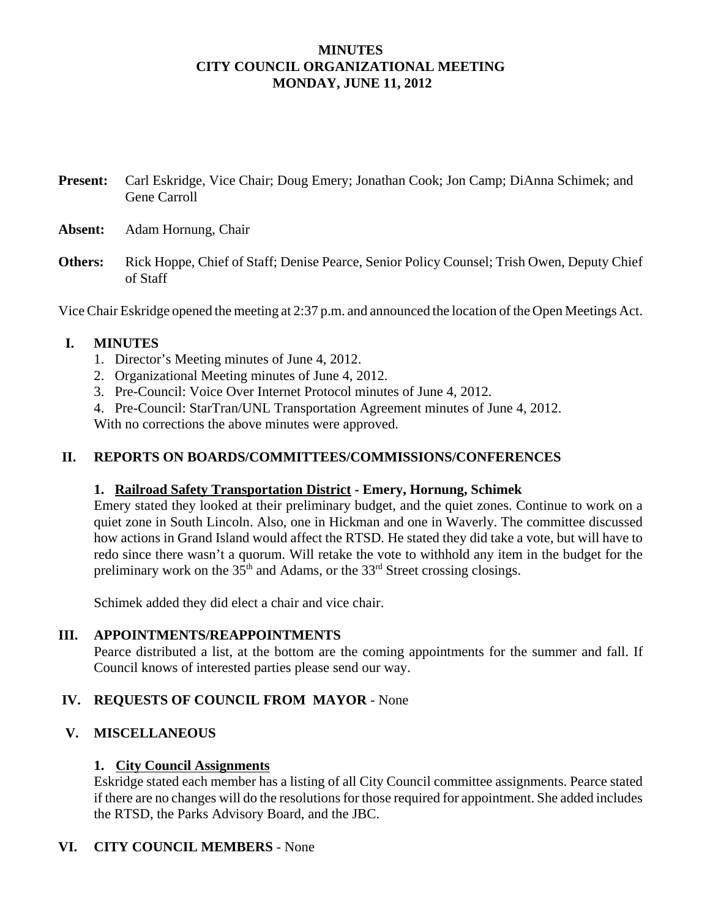## **MINUTES CITY COUNCIL ORGANIZATIONAL MEETING MONDAY, JUNE 11, 2012**

**Present:** Carl Eskridge, Vice Chair; Doug Emery; Jonathan Cook; Jon Camp; DiAnna Schimek; and Gene Carroll

- **Absent:** Adam Hornung, Chair
- **Others:** Rick Hoppe, Chief of Staff; Denise Pearce, Senior Policy Counsel; Trish Owen, Deputy Chief of Staff

Vice Chair Eskridge opened the meeting at 2:37 p.m. and announced the location of the Open Meetings Act.

## **I. MINUTES**

- 1. Director's Meeting minutes of June 4, 2012.
- 2. Organizational Meeting minutes of June 4, 2012.
- 3. Pre-Council: Voice Over Internet Protocol minutes of June 4, 2012.
- 4. Pre-Council: StarTran/UNL Transportation Agreement minutes of June 4, 2012.

With no corrections the above minutes were approved.

## **II. REPORTS ON BOARDS/COMMITTEES/COMMISSIONS/CONFERENCES**

#### **1. Railroad Safety Transportation District - Emery, Hornung, Schimek**

Emery stated they looked at their preliminary budget, and the quiet zones. Continue to work on a quiet zone in South Lincoln. Also, one in Hickman and one in Waverly. The committee discussed how actions in Grand Island would affect the RTSD. He stated they did take a vote, but will have to redo since there wasn't a quorum. Will retake the vote to withhold any item in the budget for the preliminary work on the  $35<sup>th</sup>$  and Adams, or the  $33<sup>rd</sup>$  Street crossing closings.

Schimek added they did elect a chair and vice chair.

#### **III. APPOINTMENTS/REAPPOINTMENTS**

Pearce distributed a list, at the bottom are the coming appointments for the summer and fall. If Council knows of interested parties please send our way.

#### **IV. REQUESTS OF COUNCIL FROM MAYOR** - None

#### **V. MISCELLANEOUS**

#### **1. City Council Assignments**

Eskridge stated each member has a listing of all City Council committee assignments. Pearce stated if there are no changes will do the resolutions for those required for appointment. She added includes the RTSD, the Parks Advisory Board, and the JBC.

#### **VI. CITY COUNCIL MEMBERS** - None